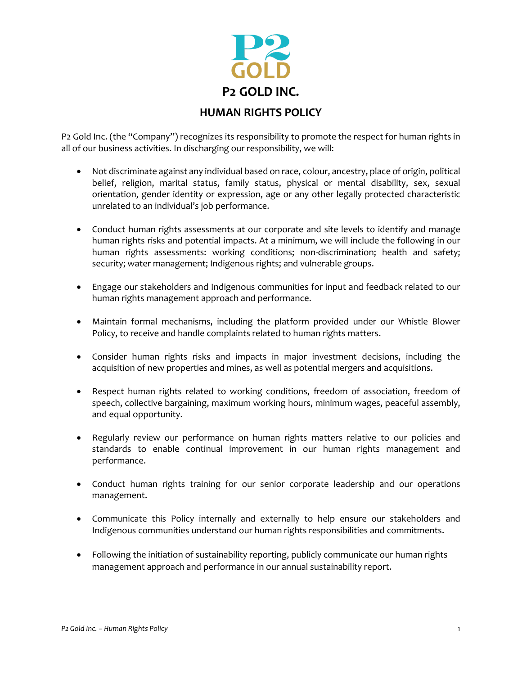

P2 Gold Inc. (the "Company") recognizes its responsibility to promote the respect for human rights in all of our business activities. In discharging our responsibility, we will:

- Not discriminate against any individual based on race, colour, ancestry, place of origin, political belief, religion, marital status, family status, physical or mental disability, sex, sexual orientation, gender identity or expression, age or any other legally protected characteristic unrelated to an individual's job performance.
- Conduct human rights assessments at our corporate and site levels to identify and manage human rights risks and potential impacts. At a minimum, we will include the following in our human rights assessments: working conditions; non-discrimination; health and safety; security; water management; Indigenous rights; and vulnerable groups.
- Engage our stakeholders and Indigenous communities for input and feedback related to our human rights management approach and performance.
- Maintain formal mechanisms, including the platform provided under our Whistle Blower Policy, to receive and handle complaints related to human rights matters.
- Consider human rights risks and impacts in major investment decisions, including the acquisition of new properties and mines, as well as potential mergers and acquisitions.
- Respect human rights related to working conditions, freedom of association, freedom of speech, collective bargaining, maximum working hours, minimum wages, peaceful assembly, and equal opportunity.
- Regularly review our performance on human rights matters relative to our policies and standards to enable continual improvement in our human rights management and performance.
- Conduct human rights training for our senior corporate leadership and our operations management.
- Communicate this Policy internally and externally to help ensure our stakeholders and Indigenous communities understand our human rights responsibilities and commitments.
- Following the initiation of sustainability reporting, publicly communicate our human rights management approach and performance in our annual sustainability report.